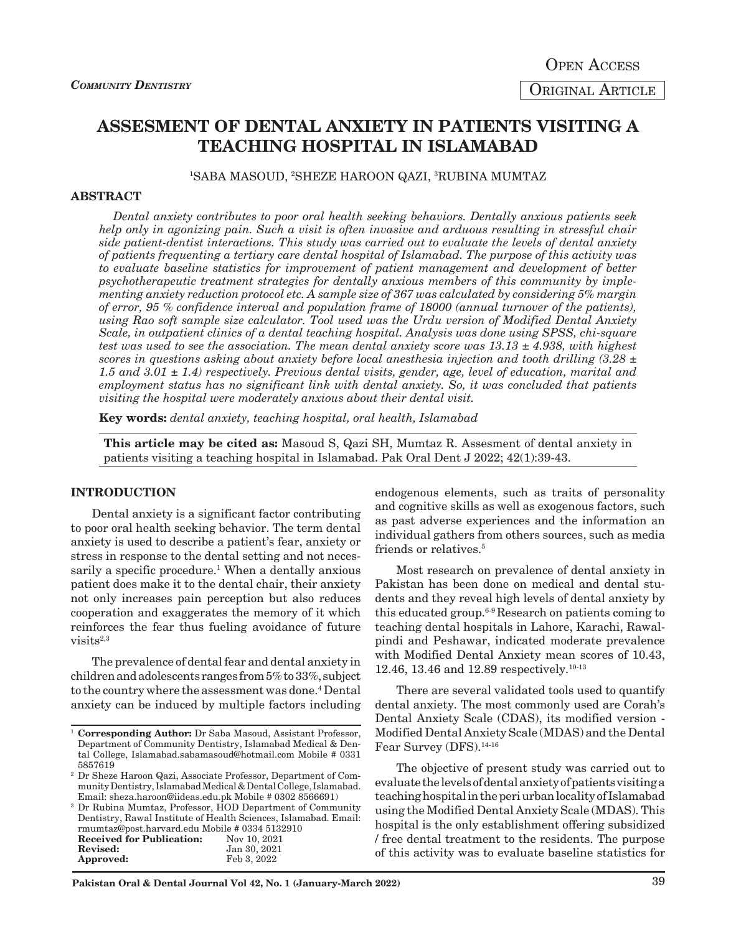# **ASSESMENT OF DENTAL ANXIETY IN PATIENTS VISITING A TEACHING HOSPITAL IN ISLAMABAD**

1 SABA MASOUD, 2 SHEZE HAROON QAZI, 3 RUBINA MUMTAZ

#### **ABSTRACT**

*Dental anxiety contributes to poor oral health seeking behaviors. Dentally anxious patients seek help only in agonizing pain. Such a visit is often invasive and arduous resulting in stressful chair side patient-dentist interactions. This study was carried out to evaluate the levels of dental anxiety of patients frequenting a tertiary care dental hospital of Islamabad. The purpose of this activity was to evaluate baseline statistics for improvement of patient management and development of better psychotherapeutic treatment strategies for dentally anxious members of this community by implementing anxiety reduction protocol etc. A sample size of 367 was calculated by considering 5% margin of error, 95 % confidence interval and population frame of 18000 (annual turnover of the patients), using Rao soft sample size calculator. Tool used was the Urdu version of Modified Dental Anxiety Scale, in outpatient clinics of a dental teaching hospital. Analysis was done using SPSS, chi-square test was used to see the association. The mean dental anxiety score was 13.13 ± 4.938, with highest scores in questions asking about anxiety before local anesthesia injection and tooth drilling (3.28 ± 1.5 and 3.01 ± 1.4) respectively. Previous dental visits, gender, age, level of education, marital and employment status has no significant link with dental anxiety. So, it was concluded that patients visiting the hospital were moderately anxious about their dental visit.*

**Key words:** *dental anxiety, teaching hospital, oral health, Islamabad*

**This article may be cited as:** Masoud S, Qazi SH, Mumtaz R. Assesment of dental anxiety in patients visiting a teaching hospital in Islamabad. Pak Oral Dent J 2022; 42(1):39-43.

#### **INTRODUCTION**

Approved:

Dental anxiety is a significant factor contributing to poor oral health seeking behavior. The term dental anxiety is used to describe a patient's fear, anxiety or stress in response to the dental setting and not necessarily a specific procedure.<sup>1</sup> When a dentally anxious patient does make it to the dental chair, their anxiety not only increases pain perception but also reduces cooperation and exaggerates the memory of it which reinforces the fear thus fueling avoidance of future  $visits<sup>2,3</sup>$ 

The prevalence of dental fear and dental anxiety in children and adolescents ranges from 5% to 33%, subject to the country where the assessment was done.<sup>4</sup> Dental anxiety can be induced by multiple factors including

<sup>3</sup> Dr Rubina Mumtaz, Professor, HOD Department of Community Dentistry, Rawal Institute of Health Sciences, Islamabad. Email: rmumtaz@post.harvard.edu Mobile # 0334 5132910<br>Received for Publication: Nov 10, 2021 **Received for Publication:**<br>Revised: Jan 30, 2021<br>Feb 3, 2022

endogenous elements, such as traits of personality and cognitive skills as well as exogenous factors, such as past adverse experiences and the information an individual gathers from others sources, such as media friends or relatives.<sup>5</sup>

Most research on prevalence of dental anxiety in Pakistan has been done on medical and dental students and they reveal high levels of dental anxiety by this educated group.<sup>6-9</sup> Research on patients coming to teaching dental hospitals in Lahore, Karachi, Rawalpindi and Peshawar, indicated moderate prevalence with Modified Dental Anxiety mean scores of 10.43, 12.46, 13.46 and 12.89 respectively.10-13

There are several validated tools used to quantify dental anxiety. The most commonly used are Corah's Dental Anxiety Scale (CDAS), its modified version - Modified Dental Anxiety Scale (MDAS) and the Dental Fear Survey (DFS).<sup>14-16</sup>

The objective of present study was carried out to evaluate the levels of dental anxiety of patients visiting a teaching hospital in the peri urban locality of Islamabad using the Modified Dental Anxiety Scale (MDAS). This hospital is the only establishment offering subsidized / free dental treatment to the residents. The purpose of this activity was to evaluate baseline statistics for

<sup>&</sup>lt;sup>1</sup> Corresponding Author: Dr Saba Masoud, Assistant Professor, Department of Community Dentistry, Islamabad Medical & Dental College, Islamabad.sabamasoud@hotmail.com Mobile # 0331 5857619

<sup>2</sup> Dr Sheze Haroon Qazi, Associate Professor, Department of Community Dentistry, Islamabad Medical & Dental College, Islamabad. Email: sheza.haroon@iideas.edu.pk Mobile # 0302 8566691)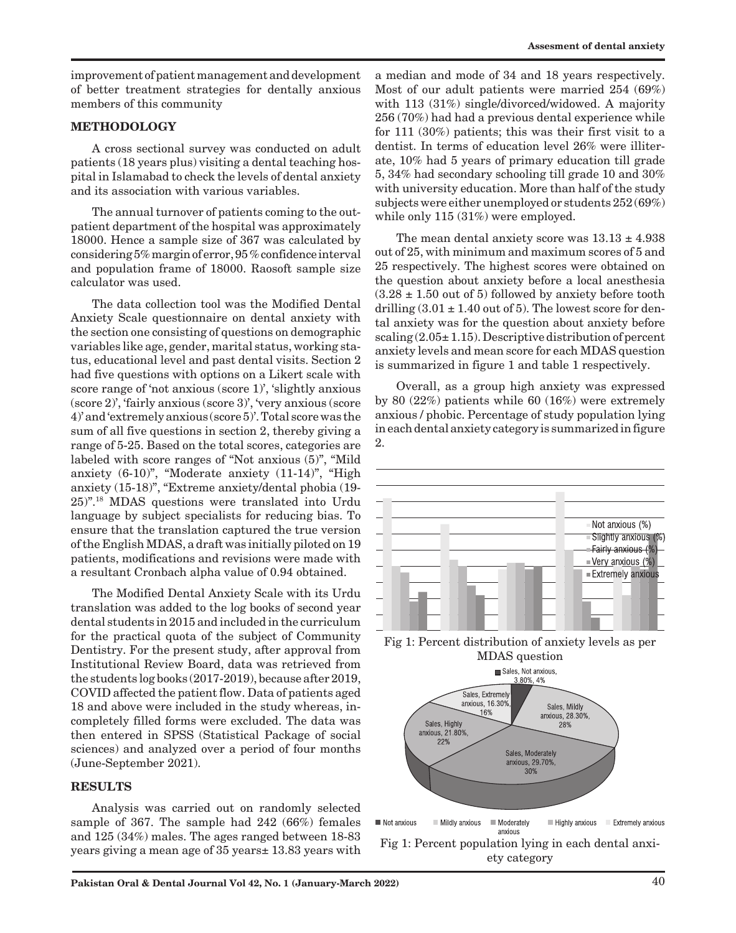improvement of patient management and development of better treatment strategies for dentally anxious members of this community

# **METHODOLOGY**

A cross sectional survey was conducted on adult patients (18 years plus) visiting a dental teaching hospital in Islamabad to check the levels of dental anxiety and its association with various variables.

The annual turnover of patients coming to the outpatient department of the hospital was approximately 18000. Hence a sample size of 367 was calculated by considering 5% margin of error, 95 % confidence interval and population frame of 18000. Raosoft sample size calculator was used.

The data collection tool was the Modified Dental Anxiety Scale questionnaire on dental anxiety with the section one consisting of questions on demographic variables like age, gender, marital status, working status, educational level and past dental visits. Section 2 had five questions with options on a Likert scale with score range of 'not anxious (score 1)', 'slightly anxious (score 2)', 'fairly anxious (score 3)', 'very anxious (score 4)' and 'extremely anxious (score 5)'. Total score was the sum of all five questions in section 2, thereby giving a range of 5-25. Based on the total scores, categories are labeled with score ranges of "Not anxious (5)", "Mild anxiety (6-10)", "Moderate anxiety (11-14)", "High anxiety (15-18)", "Extreme anxiety/dental phobia (19- 25)".18 MDAS questions were translated into Urdu language by subject specialists for reducing bias. To ensure that the translation captured the true version of the English MDAS, a draft was initially piloted on 19 patients, modifications and revisions were made with a resultant Cronbach alpha value of 0.94 obtained.

The Modified Dental Anxiety Scale with its Urdu translation was added to the log books of second year dental students in 2015 and included in the curriculum for the practical quota of the subject of Community Dentistry. For the present study, after approval from Institutional Review Board, data was retrieved from the students log books (2017-2019), because after 2019, COVID affected the patient flow. Data of patients aged 18 and above were included in the study whereas, incompletely filled forms were excluded. The data was then entered in SPSS (Statistical Package of social sciences) and analyzed over a period of four months (June-September 2021).

#### **RESULTS**

Analysis was carried out on randomly selected sample of 367. The sample had 242 (66%) females and 125 (34%) males. The ages ranged between 18-83 years giving a mean age of 35 years± 13.83 years with

a median and mode of 34 and 18 years respectively. Most of our adult patients were married 254 (69%) with 113 (31%) single/divorced/widowed. A majority 256 (70%) had had a previous dental experience while for 111 (30%) patients; this was their first visit to a dentist. In terms of education level 26% were illiterate, 10% had 5 years of primary education till grade 5, 34% had secondary schooling till grade 10 and 30% with university education. More than half of the study subjects were either unemployed or students 252 (69%) while only 115 (31%) were employed.

The mean dental anxiety score was  $13.13 \pm 4.938$ out of 25, with minimum and maximum scores of 5 and 25 respectively. The highest scores were obtained on the question about anxiety before a local anesthesia  $(3.28 \pm 1.50)$  out of 5) followed by anxiety before tooth drilling  $(3.01 \pm 1.40 \text{ out of } 5)$ . The lowest score for dental anxiety was for the question about anxiety before scaling  $(2.05 \pm 1.15)$ . Descriptive distribution of percent anxiety levels and mean score for each MDAS question is summarized in figure 1 and table 1 respectively.

Overall, as a group high anxiety was expressed by 80 (22%) patients while 60 (16%) were extremely anxious / phobic. Percentage of study population lying in each dental anxiety category is summarized in figure 2.



Fig 1: Percent distribution of anxiety levels as per MDAS question

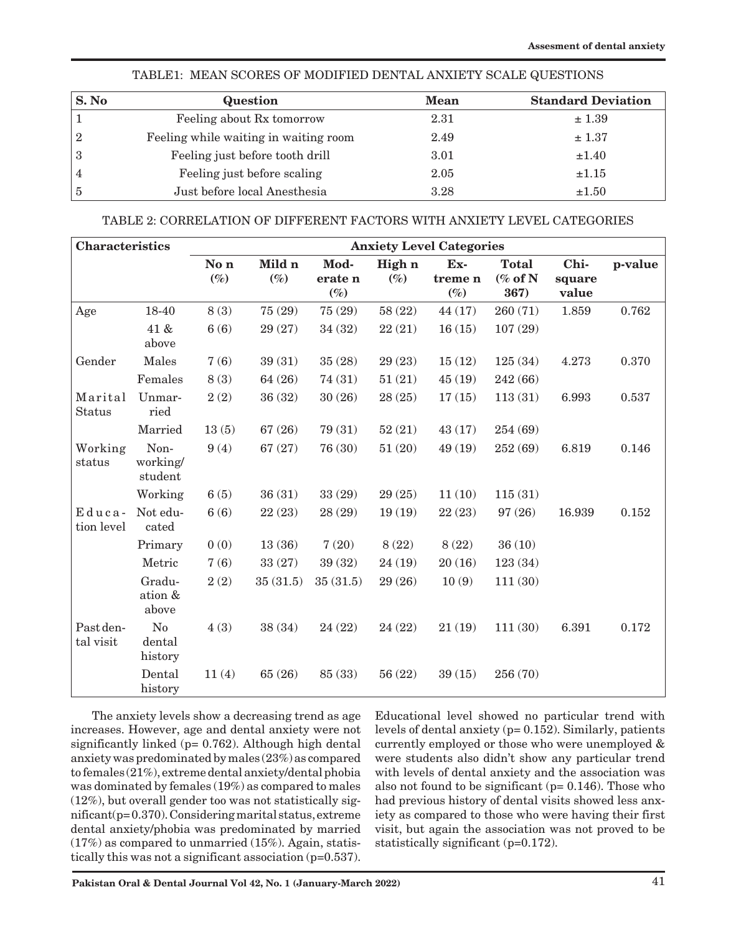| S. No          | Question                              | <b>Mean</b> | <b>Standard Deviation</b> |
|----------------|---------------------------------------|-------------|---------------------------|
|                | Feeling about Rx tomorrow             | 2.31        | ± 1.39                    |
| $\overline{2}$ | Feeling while waiting in waiting room | 2.49        | ± 1.37                    |
| 3              | Feeling just before tooth drill       | 3.01        | ±1.40                     |
| $\overline{4}$ | Feeling just before scaling           | 2.05        | $\pm 1.15$                |
| $\overline{5}$ | Just before local Anesthesia          | 3.28        | $\pm 1.50$                |
|                |                                       |             |                           |

# TABLE1: MEAN SCORES OF MODIFIED DENTAL ANXIETY SCALE QUESTIONS

# TABLE 2: CORRELATION OF DIFFERENT FACTORS WITH ANXIETY LEVEL CATEGORIES

| <b>Characteristics</b>   |                                     | <b>Anxiety Level Categories</b> |                  |                           |                  |                          |                                    |                         |         |
|--------------------------|-------------------------------------|---------------------------------|------------------|---------------------------|------------------|--------------------------|------------------------------------|-------------------------|---------|
|                          |                                     | No n<br>$(\%)$                  | Mild n<br>$(\%)$ | Mod-<br>erate n<br>$(\%)$ | High n<br>$(\%)$ | Ex-<br>treme n<br>$(\%)$ | <b>Total</b><br>$(\%$ of N<br>367) | Chi-<br>square<br>value | p-value |
| Age                      | 18-40                               | 8(3)                            | 75 (29)          | 75(29)                    | 58 (22)          | 44(17)                   | 260(71)                            | 1.859                   | 0.762   |
|                          | 41 &<br>above                       | 6(6)                            | 29 (27)          | 34 (32)                   | 22(21)           | 16(15)                   | 107(29)                            |                         |         |
| Gender                   | Males                               | 7(6)                            | 39(31)           | 35(28)                    | 29 (23)          | 15(12)                   | 125(34)                            | 4.273                   | 0.370   |
|                          | Females                             | 8(3)                            | 64 (26)          | 74(31)                    | 51(21)           | 45(19)                   | 242 (66)                           |                         |         |
| Marital<br><b>Status</b> | Unmar-<br>ried                      | 2(2)                            | 36(32)           | 30(26)                    | 28(25)           | 17(15)                   | 113(31)                            | 6.993                   | 0.537   |
|                          | Married                             | 13(5)                           | 67(26)           | 79 (31)                   | 52(21)           | 43(17)                   | 254 (69)                           |                         |         |
| Working<br>status        | Non-<br>working/<br>student         | 9(4)                            | 67(27)           | 76 (30)                   | 51(20)           | 49 (19)                  | 252 (69)                           | 6.819                   | 0.146   |
|                          | Working                             | 6(5)                            | 36(31)           | 33(29)                    | 29(25)           | 11(10)                   | 115(31)                            |                         |         |
| Educa-<br>tion level     | Not edu-<br>cated                   | 6(6)                            | 22(23)           | 28 (29)                   | 19(19)           | 22(23)                   | 97 (26)                            | 16.939                  | 0.152   |
|                          | Primary                             | 0(0)                            | 13(36)           | 7(20)                     | 8(22)            | 8(22)                    | 36(10)                             |                         |         |
|                          | Metric                              | 7(6)                            | 33(27)           | 39 (32)                   | 24(19)           | 20(16)                   | 123(34)                            |                         |         |
|                          | Gradu-<br>ation &<br>above          | 2(2)                            | 35(31.5)         | 35(31.5)                  | 29 (26)          | 10(9)                    | 111(30)                            |                         |         |
| Past den-<br>tal visit   | N <sub>o</sub><br>dental<br>history | 4(3)                            | 38 (34)          | 24(22)                    | 24(22)           | 21(19)                   | 111(30)                            | 6.391                   | 0.172   |
|                          | Dental<br>history                   | 11(4)                           | 65 (26)          | 85 (33)                   | 56 (22)          | 39(15)                   | 256 (70)                           |                         |         |

The anxiety levels show a decreasing trend as age increases. However, age and dental anxiety were not significantly linked (p= 0.762). Although high dental anxiety was predominated by males (23%) as compared to females (21%), extreme dental anxiety/dental phobia was dominated by females (19%) as compared to males (12%), but overall gender too was not statistically significant(p= 0.370). Considering marital status, extreme dental anxiety/phobia was predominated by married (17%) as compared to unmarried (15%). Again, statistically this was not a significant association (p=0.537).

Educational level showed no particular trend with levels of dental anxiety (p= 0.152). Similarly, patients currently employed or those who were unemployed & were students also didn't show any particular trend with levels of dental anxiety and the association was also not found to be significant ( $p= 0.146$ ). Those who had previous history of dental visits showed less anxiety as compared to those who were having their first visit, but again the association was not proved to be statistically significant (p=0.172).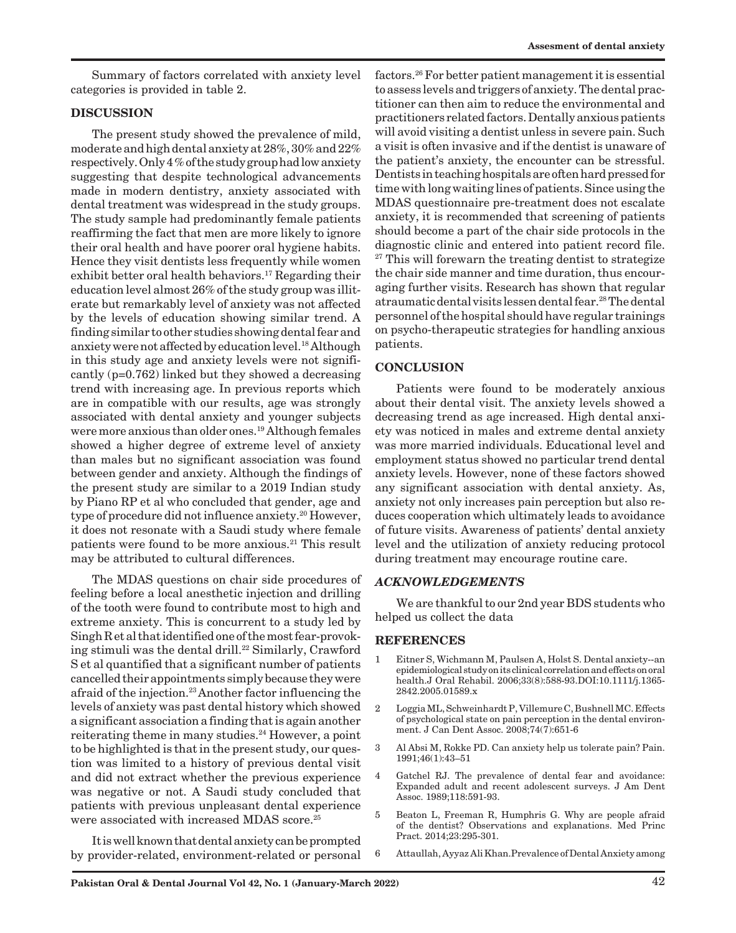Summary of factors correlated with anxiety level categories is provided in table 2.

# **DISCUSSION**

The present study showed the prevalence of mild, moderate and high dental anxiety at 28%, 30% and 22% respectively. Only 4 % of the study group had low anxiety suggesting that despite technological advancements made in modern dentistry, anxiety associated with dental treatment was widespread in the study groups. The study sample had predominantly female patients reaffirming the fact that men are more likely to ignore their oral health and have poorer oral hygiene habits. Hence they visit dentists less frequently while women exhibit better oral health behaviors.<sup>17</sup> Regarding their education level almost 26% of the study group was illiterate but remarkably level of anxiety was not affected by the levels of education showing similar trend. A finding similar to other studies showing dental fear and anxiety were not affected by education level.18 Although in this study age and anxiety levels were not significantly (p=0.762) linked but they showed a decreasing trend with increasing age. In previous reports which are in compatible with our results, age was strongly associated with dental anxiety and younger subjects were more anxious than older ones.19 Although females showed a higher degree of extreme level of anxiety than males but no significant association was found between gender and anxiety. Although the findings of the present study are similar to a 2019 Indian study by Piano RP et al who concluded that gender, age and type of procedure did not influence anxiety.<sup>20</sup> However, it does not resonate with a Saudi study where female patients were found to be more anxious.<sup>21</sup> This result may be attributed to cultural differences.

The MDAS questions on chair side procedures of feeling before a local anesthetic injection and drilling of the tooth were found to contribute most to high and extreme anxiety. This is concurrent to a study led by Singh R et al that identified one of the most fear-provoking stimuli was the dental drill.<sup>22</sup> Similarly, Crawford S et al quantified that a significant number of patients cancelled their appointments simply because they were afraid of the injection.23 Another factor influencing the levels of anxiety was past dental history which showed a significant association a finding that is again another reiterating theme in many studies.<sup>24</sup> However, a point to be highlighted is that in the present study, our question was limited to a history of previous dental visit and did not extract whether the previous experience was negative or not. A Saudi study concluded that patients with previous unpleasant dental experience were associated with increased MDAS score.<sup>25</sup>

It is well known that dental anxiety can be prompted by provider-related, environment-related or personal factors.26 For better patient management it is essential to assess levels and triggers of anxiety. The dental practitioner can then aim to reduce the environmental and practitioners related factors. Dentally anxious patients will avoid visiting a dentist unless in severe pain. Such a visit is often invasive and if the dentist is unaware of the patient's anxiety, the encounter can be stressful. Dentists in teaching hospitals are often hard pressed for time with long waiting lines of patients. Since using the MDAS questionnaire pre-treatment does not escalate anxiety, it is recommended that screening of patients should become a part of the chair side protocols in the diagnostic clinic and entered into patient record file. <sup>27</sup> This will forewarn the treating dentist to strategize the chair side manner and time duration, thus encouraging further visits. Research has shown that regular atraumatic dental visits lessen dental fear.28 The dental personnel of the hospital should have regular trainings on psycho-therapeutic strategies for handling anxious patients.

# **CONCLUSION**

Patients were found to be moderately anxious about their dental visit. The anxiety levels showed a decreasing trend as age increased. High dental anxiety was noticed in males and extreme dental anxiety was more married individuals. Educational level and employment status showed no particular trend dental anxiety levels. However, none of these factors showed any significant association with dental anxiety. As, anxiety not only increases pain perception but also reduces cooperation which ultimately leads to avoidance of future visits. Awareness of patients' dental anxiety level and the utilization of anxiety reducing protocol during treatment may encourage routine care.

#### *ACKNOWLEDGEMENTS*

We are thankful to our 2nd year BDS students who helped us collect the data

#### **REFERENCES**

- 1 Eitner S, Wichmann M, Paulsen A, Holst S. Dental anxiety--an epidemiological study on its clinical correlation and effects on oral health.J Oral Rehabil. 2006;33(8):588-93.DOI:10.1111/j.1365- 2842.2005.01589.x
- 2 Loggia ML, Schweinhardt P, Villemure C, Bushnell MC. Effects of psychological state on pain perception in the dental environment. J Can Dent Assoc. 2008;74(7):651-6
- 3 Al Absi M, Rokke PD. Can anxiety help us tolerate pain? Pain. 1991;46(1):43–51
- 4 Gatchel RJ. The prevalence of dental fear and avoidance: Expanded adult and recent adolescent surveys. J Am Dent Assoc. 1989;118:591-93.
- 5 Beaton L, Freeman R, Humphris G. Why are people afraid of the dentist? Observations and explanations. Med Princ Pract. 2014;23:295-301.
- 6 Attaullah, Ayyaz Ali Khan.Prevalence of Dental Anxiety among